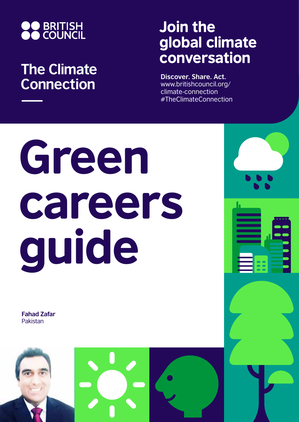

## **The Climate Connection**

## Join the global climate conversation

**Discover. Share. Act.** www.britishcouncil.org/ climate-connection #TheClimateConnection

## Green careers guide

**Fahad Zafar** Pakistan

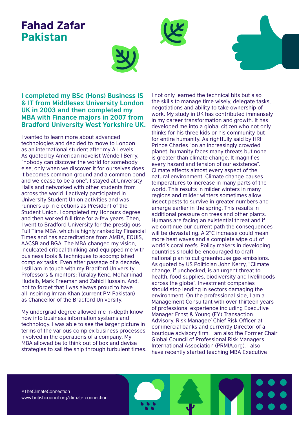## Fahad Zafar Pakistan



**I completed my BSc (Hons) Business IS & IT from Middlesex University London UK in 2003 and then completed my MBA with Finance majors in 2007 from Bradford University West Yorkshire UK.** 

I wanted to learn more about advanced technologies and decided to move to London as an international student after my A-Levels. As quoted by American novelist Wendell Berry, "nobody can discover the world for somebody else; only when we discover it for ourselves does it becomes common ground and a common bond and we cease to be alone". I stayed at University Halls and networked with other students from across the world. I actively participated in University Student Union activities and was runners up in elections as President of the Student Union. I completed my Honours degree and then worked full time for a-few years. Then, I went to Bradford University for the prestigious Full Time MBA, which is highly ranked by Financial Times and has accreditations from AMBA, EQUIS, AACSB and BGA. The MBA changed my vision, inculcated critical thinking and equipped me with business tools & techniques to accomplished complex tasks. Even after passage of a decade, I still am in touch with my Bradford University Professors & mentors: Turalay Kenc, Mohammad Hudaib, Mark Freeman and Zahid Hussain. And, not to forget that I was always proud to have all inspiring Imran Khan (current PM Pakistan) as Chancellor of the Bradford University.

My undergrad degree allowed me in-depth know how into business information systems and technology. I was able to see the larger picture in terms of the various complex business processes involved in the operations of a company. My MBA allowed be to think out of box and devise strategies to sail the ship through turbulent times. I not only learned the technical bits but also the skills to manage time wisely, delegate tasks, negotiations and ability to take ownership of work. My study in UK has contributed immensely in my career transformation and growth. It has developed me into a global citizen who not only thinks for his three kids or his community but for entire humanity. As rightfully said by HRH Prince Charles "on an increasingly crowded planet, humanity faces many threats but none is greater than climate change. It magnifies every hazard and tension of our existence". Climate affects almost every aspect of the natural environment. Climate change causes temperatures to increase in many parts of the world. This results in milder winters in many regions and milder winters sometimes allow insect pests to survive in greater numbers and emerge earlier in the spring. This results in additional pressure on trees and other plants. Humans are facing an existential threat and if we continue our current path the consequences will be devastating. A 2°C increase could mean more heat waves and a complete wipe out of world's coral reefs. Policy makers in developing countries should be encouraged to draft national plan to cut greenhouse gas emissions. As quoted by US Politician John Kerry, "Climate change, if unchecked, is an urgent threat to health, food supplies, biodiversity and livelihoods across the globe". Investment companies should stop lending in sectors damaging the environment. On the professional side, I am a Management Consultant with over thirteen years of professional experience including Executive Manager Ernst & Young (EY) Transaction Advisory, Risk Manager/ Chief Risk Officer at commercial banks and currently Director of a boutique advisory firm. I am also the Former Chair Global Council of Professional Risk Managers International Association (PRMIA.org). I also have recently started teaching MBA Executive

#TheClimateConnection www.britishcouncil.org/climate-connection

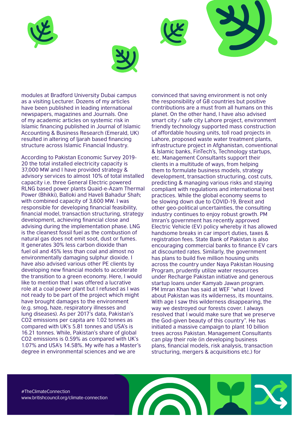



modules at Bradford University Dubai campus as a visiting Lecturer. Dozens of my articles have been published in leading international newspapers, magazines and Journals. One of my academic articles on systemic risk in Islamic financing published in Journal of Islamic Accounting & Business Research (Emerald, UK) resulted in altering of Ijarah based financing structure across Islamic Financial Industry.

According to Pakistan Economic Survey 2019- 20 the total installed electricity capacity is 37,000 MW and I have provided strategy & advisory services to almost 10% of total installed capacity i.e. three General Electric powered RLNG based power plants Quaid-e-Azam Thermal Power (Bhikki), Balloki and Haveli Bahadur Shah; with combined capacity of 3,600 MW. I was responsible for developing financial feasibility, financial model, transaction structuring, strategy development, achieving financial close and advising during the implementation phase. LNG is the cleanest fossil fuel as the combustion of natural gas does not emit soot, dust or fumes. It generates 30% less carbon dioxide than fuel oil and 45% less than coal and almost no environmentally damaging sulphur dioxide. I have also advised various other PE clients by developing new financial models to accelerate the transition to a green economy. Here, I would like to mention that I was offered a lucrative role at a coal power plant but I refused as I was not ready to be part of the project which might have brought damages to the environment (e.g. smog, haze, respiratory illnesses and lung diseases). As per 2017's data, Pakistan's CO2 emissions per capita are 1.02 tonnes as compared with UK's 5.81 tonnes and USA's is 16.21 tonnes. While, Pakistan's share of global CO2 emissions is 0.59% as compared with UK's 1.07% and USA's 14.58%. My wife has a Master's degree in environmental sciences and we are

convinced that saving environment is not only the responsibility of G8 countries but positive contributions are a must from all humans on this planet. On the other hand, I have also advised smart city / safe city Lahore project, environment friendly technology supported mass construction of affordable housing units, toll road projects in Lahore, proposed waste water treatment plants, infrastructure project in Afghanistan, conventional & Islamic banks, FinTech's, Technology startups, etc. Management Consultants support their clients in a multitude of ways, from helping them to formulate business models, strategy development, transaction structuring, cost cuts, predicting & managing various risks and staying compliant with regulations and international best practices. While the global economy seems to be slowing down due to COVID-19, Brexit and other geo-political uncertainties, the consulting industry continues to enjoy robust growth. PM Imran's government has recently approved Electric Vehicle (EV) policy whereby it has allowed handsome breaks in car import duties, taxes & registration fees. State Bank of Pakistan is also encouraging commercial banks to finance EV cars at discounted rates. Similarly, the government has plans to build five million housing units across the country under Naya Pakistan Housing Program, prudently utilize water resources under Recharge Pakistan initiative and generous startup loans under Kamyab Jawan program. PM Imran Khan has said at WEF "what I loved about Pakistan was its wilderness, its mountains. With age I saw this wilderness disappearing, the way we destroyed our forests cover. I always resolved that I would make sure that we preserve the God-given beauty of this country". He has initiated a massive campaign to plant 10 billion trees across Pakistan. Management Consultants can play their role (in developing business plans, financial models, risk analysis, transaction structuring, mergers & acquisitions etc.) for

#TheClimateConnection www.britishcouncil.org/climate-connection